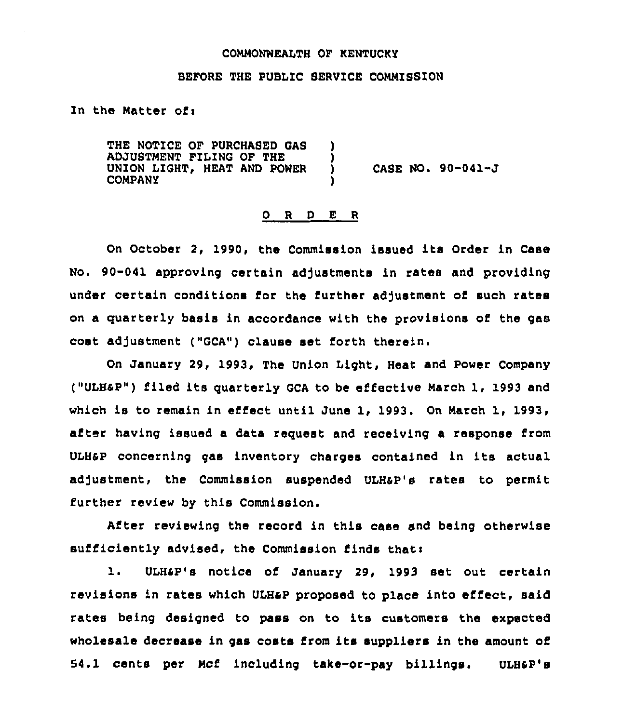#### COMMONWEALTH OF KENTUCKY

#### BEFORE THE PUBLIC SERVICE COMMISSION

In the Matter of:

THE NOTICE OF PURCHASED GAS ADJUSTMENT FILING OF THE UNION LIGHT, HEAT AND POWER COMPANY ) ) ) CASE NO. 90-041-J )

#### 0 <sup>R</sup> <sup>D</sup> E <sup>R</sup>

On October 2, 1990, the Commission issued its Order in Case No. 90-041 approving certain adjustments in rates and providing under certain conditions for the further adjustment of such rates on a quarterly basis in accordance with the provisions of the gas cost adjustment ("GCA") clause set forth therein.

On January 29, 1993, The Union Light, Heat and Power Company ("ULHaP") filed its quarterly GCA to be effective March 1, 1993 and which is to remain in effect until June 1, 1993. On March 1, 1993, after having issued a data request and receiving a response from ULHaP concerning gas inventory charges contained in its actual adjustment, the Commission suspended ULH&P's rates to permit further review by this Commission.

After reviewing the record in this case and being otherwise sufficiently advised, the Commission finds thati

l. ULH4P's notice of January 29, <sup>1993</sup> set out certain revisions in rates which ULHaP proposed to place into effect, said rates being designed to pass on to its customers the expected wholesale decrease in gas costs from its suppliers in the amount of 54.1 cents per Mcf including take-or-pay billings. ULHap's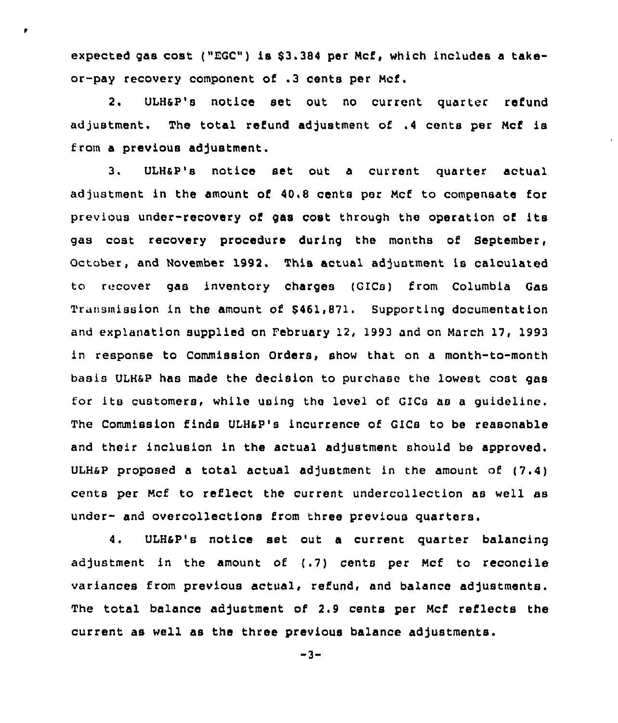expected gas cost ("EGC") is \$3.384 per Mcf, which includes a takeor-pay recovery component of .3 cents per Mcf,

٠

2. ULH6P's notice set out no current quarter refund adjustment. The total refund adjustment of .4 cents per Mcf is from a previous adjustment.

3, ULHSP's notice set out a current quarter actual adjustment in the amount of 48.8 cents per Mcf to compensate for previous under-recovery of gas cost through the operation of its gas cost recovery procedure during the months of September, October, and November 1992. This actual adjustment is calculated to recover gas inventory charges (GICs) from Columbia Gas Transmission in the amount of \$461,871. Supporting documentation and explanation supplied on February 12, 1993 and on March 17, 1993 in response to Commission Orders, show that on a month-to-month basis ULHsP has made the decision to purchase the lowest cost gas for its customers, while using the level of GICs as <sup>a</sup> guideline. The Commission finds VLH6P's incurrence of GICs to be reasonable and their inclusion in the actual adjustment should be approved. ULH&P proposed a total actual adjustment in the amount of  $(7.4)$ cents per Mcf to reflect the current undercollection as well as under- and overcollections from three previous quarters.

4. ULHSP's notice set out <sup>a</sup> current quarter balancing adjustment in the amount of (.7) cents per Mcf to reconcile variances from previous actual, refund, and balance adjustments. The total balance adjustment of 2.9 cents per Mcf reflects the current as well as the three previous balance adjustments.

-3-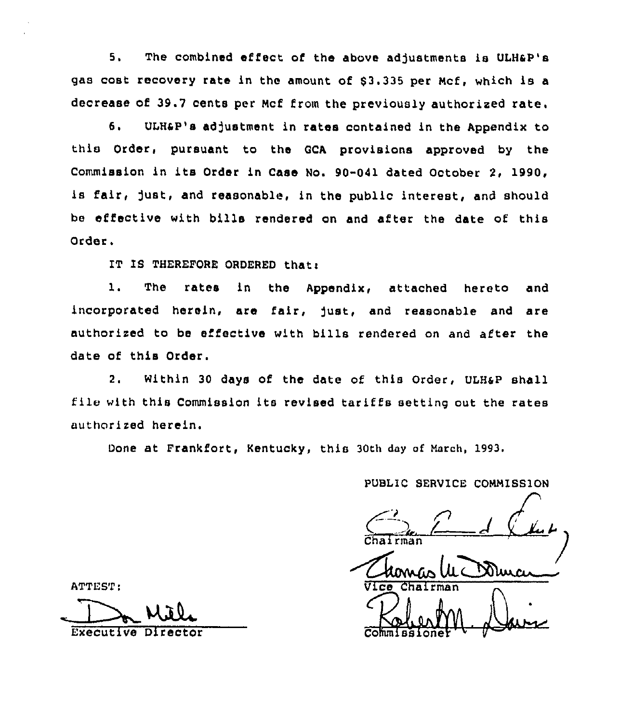6. The combined effect of the above adjustments is ULHaP's gas cost recovery rate in the amount of \$3.335 per Mcf, which is a decrease of 39.7 cents per Mcf from the previously authorized rate.

6. ULH&P's adjustment in rates contained in the Appendix to this Order, pursuant to the GCA provisions approved by the Commission in its Order in Case No. 90-041 dated October 2, 1990, is fair, just, and reasonable, in the public interest, and should be effective with bills rendered on and after the date of this Order.

IT IS THEREFORE ORDERED that:

1. The rates in the Appendix, attached hereto and incorporated herein, are fair, fust, and reasonable and are authorized to be effective with bills rendered on and after the date of this Order.

2. Within 30 days of the date of this Order, ULH6P shall file with this Commission its revised tariffs setting out the rates authorized herein.

Done at Frankfort, Kentucky, this 30th day of March, 1993.

PUBLIC SERVICE COMMISSION

Chairman<br>U. Wice Chairman

y

ATTEST:

Executive Director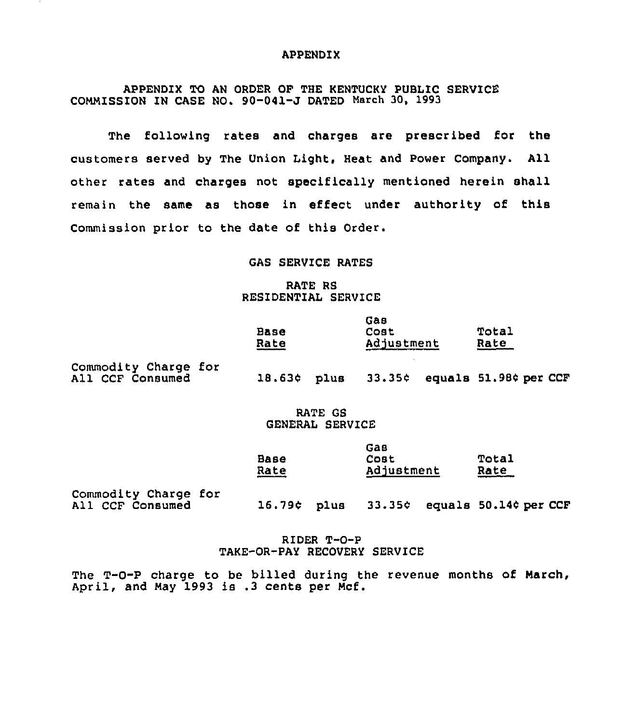### APPENDIX

APPENDIX TO AN ORDER OF THE KENTUCKY PUBLIC SERVICE COMMISSION IN CASE NO, 90-041-J DATED March 30, 1993

The following rates and charges are prescribed for the customers served by The Union Light, Heat and Power Company. All other rates and charges not specifically mentioned herein shall remain the same as those in effect under authority of this Commission prior to the date of this Order.

### GAS SERVICE RATES

## RATE RS RESIDENTIAL SERVICE

|                                                 | Base<br>Rate |      | uas<br>Cost<br>Adjustment |                       | Total<br>Rate |  |
|-------------------------------------------------|--------------|------|---------------------------|-----------------------|---------------|--|
| <b>Commodity Charge for</b><br>All CCF Consumed | 18.63¢       | plus | 33.35¢                    | equals 51.98¢ per CCF |               |  |

# RATE GS GENERAL SERVICE

|      | Gas        |       |
|------|------------|-------|
| Base | Cost       | Total |
| Rate | Adjustment | Rate  |

 $\mathbf{m}$ 

Commodity Charge for<br>All CCF Consumed

 $16.79c$  plus  $33.35c$  equals  $50.14c$  per CCF

### RIDER T-O-P TAKE-OR-PAY RECOVERY SERVICE

The T-0-P charge to be billed during the revenue months of March, April, and May 1993 is .3 cents per Mcf.